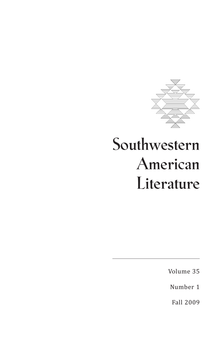

# **Southwestern American Literature**

Volume 35

Number 1

Fall 2009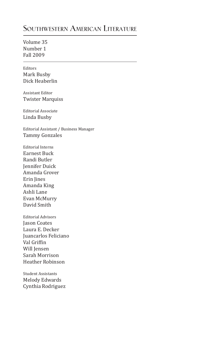# **Southwestern American Literature**

Volume 35 Number 1 Fall 2009

Editors Mark Busby Dick Heaberlin

Assistant Editor Twister Marquiss

Editorial Associate Linda Busby

Editorial Assistant / Business Manager Tammy Gonzales

Editorial Interns Earnest Buck Randi Butler Jennifer Duick Amanda Grover Erin Jines Amanda King Ashli Lane Evan McMurry David Smith

Editorial Advisors Jason Coates Laura E. Decker Juancarlos Feliciano Val Griffin Will Jensen Sarah Morrison Heather Robinson

Student Assistants Melody Edwards Cynthia Rodriguez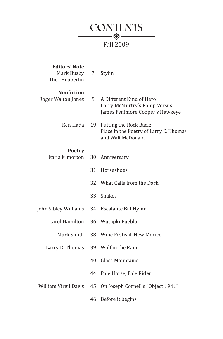

| <b>Editors' Note</b><br>Mark Busby<br>Dick Heaberlin | 7  | Stylin'                                                                                      |
|------------------------------------------------------|----|----------------------------------------------------------------------------------------------|
| <b>Nonfiction</b><br>Roger Walton Jones              | 9  | A Different Kind of Hero:<br>Larry McMurtry's Pomp Versus<br>James Fenimore Cooper's Hawkeye |
| Ken Hada                                             | 19 | Putting the Rock Back:<br>Place in the Poetry of Larry D. Thomas<br>and Walt McDonald        |
| <b>Poetry</b>                                        |    |                                                                                              |
| karla k. morton                                      | 30 | Anniversary                                                                                  |
|                                                      | 31 | Horseshoes                                                                                   |
|                                                      | 32 | What Calls from the Dark                                                                     |
|                                                      | 33 | <b>Snakes</b>                                                                                |
| John Sibley Williams                                 | 34 | Escalante Bat Hymn                                                                           |
| <b>Carol Hamilton</b>                                | 36 | Wutapki Pueblo                                                                               |
| Mark Smith                                           | 38 | Wine Festival, New Mexico                                                                    |
| Larry D. Thomas                                      | 39 | Wolf in the Rain                                                                             |
|                                                      | 40 | Glass Mountains                                                                              |
|                                                      | 44 | Pale Horse, Pale Rider                                                                       |
| William Virgil Davis                                 | 45 | On Joseph Cornell's "Object 1941"                                                            |
|                                                      | 46 | Before it begins                                                                             |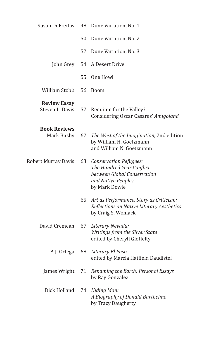| Susan DeFreitas                        |     | 48 Dune Variation, No. 1                                                                                                     |
|----------------------------------------|-----|------------------------------------------------------------------------------------------------------------------------------|
|                                        | 50  | Dune Variation, No. 2                                                                                                        |
|                                        | 52. | Dune Variation, No. 3                                                                                                        |
| John Grey                              |     | 54 A Desert Drive                                                                                                            |
|                                        | 55  | One Howl                                                                                                                     |
| William Stobb                          | 56  | <b>Boom</b>                                                                                                                  |
| <b>Review Essay</b><br>Steven L. Davis | 57  | Requium for the Valley?<br>Considering Oscar Casares' Amigoland                                                              |
| <b>Book Reviews</b><br>Mark Busby      | 62  | The West of the Imagination, 2nd edition<br>by William H. Goetzmann<br>and William N. Goetzmann                              |
| Robert Murray Davis                    |     | 63 Conservation Refugees:<br>The Hundred-Year Conflict<br>between Global Conservation<br>and Native Peoples<br>by Mark Dowie |
|                                        | 65  | Art as Performance, Story as Criticism:<br>Reflections on Native Literary Aesthetics<br>by Craig S. Womack                   |
| David Cremean                          | 67  | Literary Nevada:<br>Writings from the Silver State<br>edited by Cheryll Glotfelty                                            |
| A.J. Ortega                            | 68  | Literary El Paso<br>edited by Marcia Hatfield Daudistel                                                                      |
| James Wright                           |     | 71 Renaming the Earth: Personal Essays<br>by Ray Gonzalez                                                                    |
| Dick Holland                           | 74  | Hiding Man:<br>A Biography of Donald Barthelme<br>by Tracy Daugherty                                                         |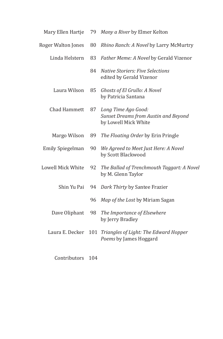| Mary Ellen Hartje       | 79 | Many a River by Elmer Kelton                                                        |
|-------------------------|----|-------------------------------------------------------------------------------------|
| Roger Walton Jones      | 80 | Rhino Ranch: A Novel by Larry McMurtry                                              |
| Linda Helstern          | 83 | Father Meme: A Novel by Gerald Vizenor                                              |
|                         | 84 | <b>Native Storiers: Five Selections</b><br>edited by Gerald Vizenor                 |
| Laura Wilson            | 85 | Ghosts of El Grullo: A Novel<br>by Patricia Santana                                 |
| Chad Hammett            | 87 | Long Time Ago Good:<br>Sunset Dreams from Austin and Beyond<br>by Lowell Mick White |
| Margo Wilson            | 89 | The Floating Order by Erin Pringle                                                  |
| <b>Emily Spiegelman</b> | 90 | We Agreed to Meet Just Here: A Novel<br>by Scott Blackwood                          |
| Lowell Mick White       | 92 | The Ballad of Trenchmouth Taggart: A Novel<br>by M. Glenn Taylor                    |
| Shin Yu Pai             | 94 | Dark Thirty by Santee Frazier                                                       |
|                         | 96 | Map of the Lost by Miriam Sagan                                                     |
| Dave Oliphant           | 98 | The Importance of Elsewhere<br>by Jerry Bradley                                     |
| Laura E. Decker         |    | 101 Triangles of Light: The Edward Hopper<br>Poems by James Hoggard                 |
|                         |    |                                                                                     |

Contributors 104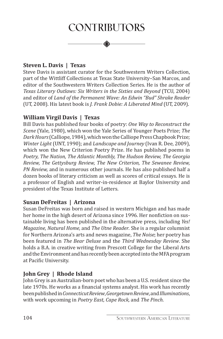# **Contributors**

#### **Steven L. Davis | Texas**

Steve Davis is assistant curator for the Southwestern Writers Collection, part of the Wittliff Collections at Texas State University–San Marcos, and editor of the Southwestern Writers Collection Series. He is the author of *Texas Literary Outlaws: Six Writers in the Sixties and Beyond* (TCU, 2004) and editor of *Land of the Permanent Wave: An Edwin "Bud" Shrake Reader* (UT, 2008). His latest book is *J. Frank Dobie: A Liberated Mind* (UT, 2009).

#### **William Virgil Davis | Texas**

Bill Davis has published four books of poetry: *One Way to Reconstruct the Scene* (Yale, 1980), which won the Yale Series of Younger Poets Prize; *The DarkHours*(Calliope, 1984), which won the Calliope Press Chapbook Prize; *Winter Light* (UNT, 1990); and *Landscape and Journey* (Ivan R. Dee, 2009), which won the New Criterion Poetry Prize. He has published poems in *Poetry, The Nation, The Atlantic Monthly, The Hudson Review, The Georgia Review, The Gettysburg Review, The New Criterion, The Sewanee Review, PN Review,* and in numerous other journals. He has also published half a dozen books of literary criticism as well as scores of critical essays. He is a professor of English and writer-in-residence at Baylor University and president of the Texas Institute of Letters.

#### **Susan DeFreitas | Arizona**

Susan DeFreitas was born and raised in western Michigan and has made her home in the high desert of Arizona since 1996. Her nonfiction on sustainable living has been published in the alternative press, including *Yes! Magazine, Natural Home,* and *The Utne Reader*. She is a regular columnist for Northern Arizona's arts and news magazine, *The Noise*; her poetry has been featured in *The Bear Deluxe* and the *Third Wednesday Review*. She holds a B.A. in creative writing from Prescott College for the Liberal Arts and theEnvironmentand has recently been accepted into the MFA program at Pacific University.

#### **John Grey | Rhode Island**

John Grey is an Australian-born poet who has been a U.S. resident since the late 1970s. He works as a financial systems analyst. His work has recently been published in *ConnecticutReview*, *Georgetown Review*, and *Illuminations*, with work upcoming in *Poetry East, Cape Rock,* and *The Pinch*.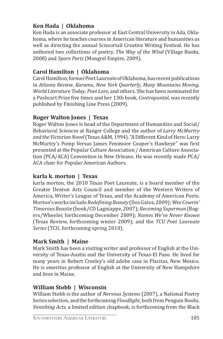# **Ken Hada | Oklahoma**

Ken Hada is an associate professor at East Central University in Ada, Oklahoma, where he teaches courses in American literature and humanities as well as directing the annual Scissortail Creative Writing Festival. He has authored two collections of poetry, *The Way of the Wind* (Village Books, 2008) and *Spare Parts* (Mongrel Empire, 2009).

### **Carol Hamilton | Oklahoma**

Carol Hamilton, former Poet Laureate of Oklahoma, has recent publications in *Atlanta Review*, *Karamu*, *New York Quarterly*, *Many Mountains Moving*, *World Literature Today*, *Poet Lore*, and others. She has been nominated for a Pushcart Prize five times and her 13th book, *Contrapuntal*, was recently published by Finishing Line Press (2009).

#### **Roger Walton Jones | Texas**

Roger Walton Jones is head of the Department of Humanities and Social/ Behavioral Sciences at Ranger College and the author of *Larry McMurtry* and the Victorian Novel (Texas A&M, 1994). "A Different Kind of Hero: Larry McMurtry's Pomp Versus James Fenimore Cooper's Hawkeye" was first presented at the Popular Culture Association / American Culture Association (PCA/ACA) Convention in New Orleans. He was recently made PCA/ ACA chair for Popular American Authors.

#### **karla k. morton | Texas**

karla morton, the 2010 Texas Poet Laureate, is a board member of the Greater Denton Arts Council and member of the Western Writers of America, Writer's League of Texas, and the Academy of American Poets. Morton's works include *RedefiningBeauty* (Dos Gatos, 2009); *Wee Cowrin' Timorous Beastie* (book/CD Lagniappe, 2007)*;Becoming Superman* (Rogers/Wheeler, forthcoming December 2009); *Names We've Never Known*  (Texas Review, forthcoming winter 2009); and the *TCU Poet Laureate Series* (TCU, forthcoming spring 2010).

### **Mark Smith | Maine**

Mark Smith has been a visiting writer and professor of English at the University of Texas-Austin and the University of Texas-El Paso. He lived for many years in Robert Creeley's old adobe casa in Placitas, New Mexico. He is emeritus professor of English at the University of New Hampshire and lives in Maine.

### **William Stobb | Wisconsin**

William Stobb is the author of *Nervous Systems* (2007), a National Poetry Series selection, and the forthcoming *Floodlight*, both from Penguin Books. *Vanishing Acts*, a limited edition chapbook, is forthcoming from the Black